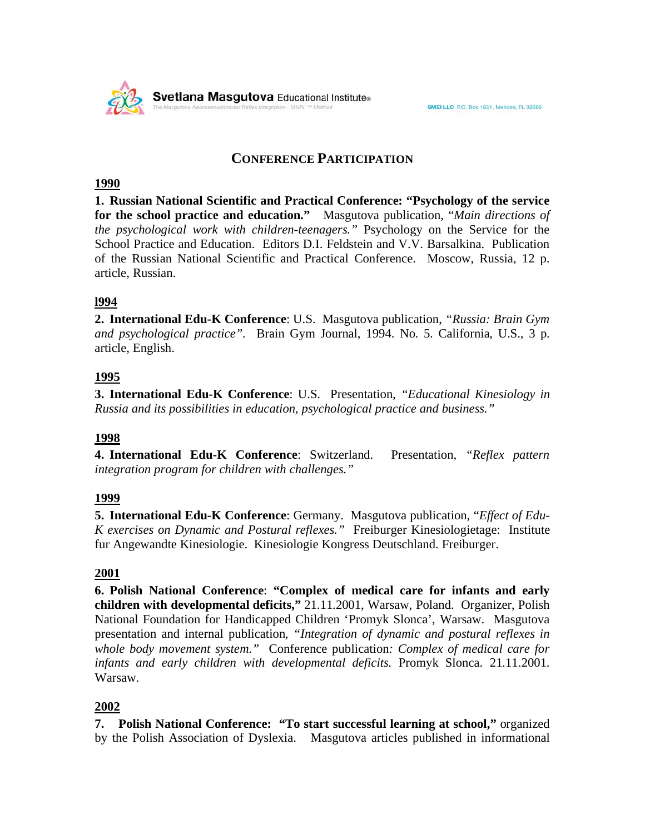

# **CONFERENCE PARTICIPATION**

#### **1990**

**1. Russian National Scientific and Practical Conference: "Psychology of the service for the school practice and education."** Masgutova publication, "*Main directions of the psychological work with children-teenagers."* Psychology on the Service for the School Practice and Education. Editors D.I. Feldstein and V.V. Barsalkina. Publication of the Russian National Scientific and Practical Conference. Moscow, Russia, 12 p. article, Russian.

## **l994**

**2. International Edu-K Conference**: U.S. Masgutova publication, *"Russia: Brain Gym and psychological practice".* Brain Gym Journal, 1994. No. 5. California, U.S., 3 p. article, English.

## **1995**

**3. International Edu-K Conference**: U.S. Presentation, *"Educational Kinesiology in Russia and its possibilities in education, psychological practice and business."* 

#### **1998**

**4. International Edu-K Conference**: Switzerland. Presentation, *"Reflex pattern integration program for children with challenges."*

## **1999**

**5. International Edu-K Conference**: Germany. Masgutova publication, "*Effect of Edu-K exercises on Dynamic and Postural reflexes."* Freiburger Kinesiologietage: Institute fur Angewandte Kinesiologie. Kinesiologie Kongress Deutschland. Freiburger.

## **2001**

**6. Polish National Conference**: **"Complex of medical care for infants and early children with developmental deficits,"** 21.11.2001, Warsaw, Poland. Organizer, Polish National Foundation for Handicapped Children 'Promyk Slonca', Warsaw. Masgutova presentation and internal publication, *"Integration of dynamic and postural reflexes in whole body movement system."* Conference publication*: Complex of medical care for infants and early children with developmental deficits.* Promyk Slonca. 21.11.2001. Warsaw.

## **2002**

**7. Polish National Conference: "To start successful learning at school,"** organized by the Polish Association of Dyslexia. Masgutova articles published in informational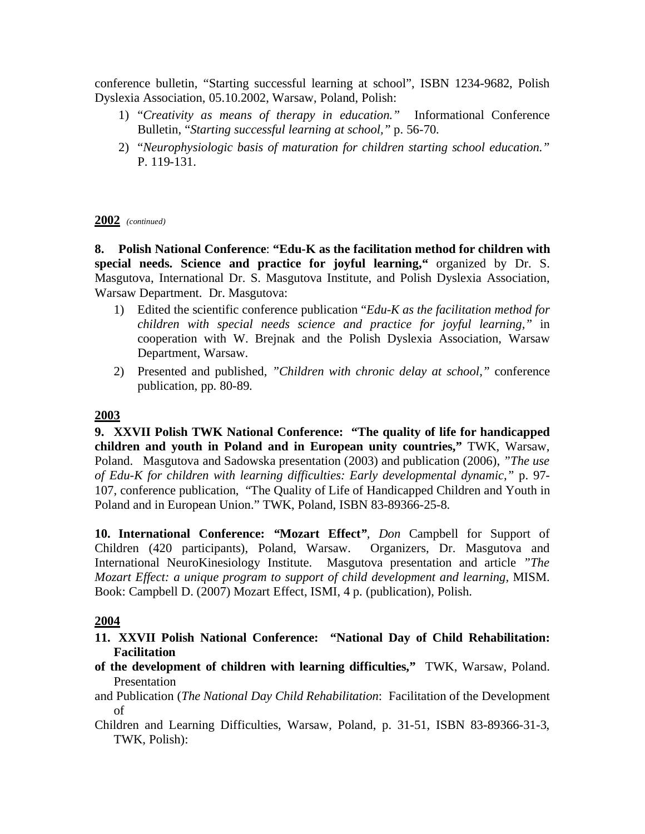conference bulletin, "Starting successful learning at school", ISBN 1234-9682, Polish Dyslexia Association, 05.10.2002, Warsaw, Poland, Polish:

- 1) "*Creativity as means of therapy in education."* Informational Conference Bulletin, "*Starting successful learning at school,"* p. 56-70.
- 2) "*Neurophysiologic basis of maturation for children starting school education."*  P. 119-131.

**2002** *(continued)*

**8. Polish National Conference**: **"Edu-K as the facilitation method for children with special needs. Science and practice for joyful learning,"** organized by Dr. S. Masgutova, International Dr. S. Masgutova Institute, and Polish Dyslexia Association, Warsaw Department. Dr. Masgutova:

- 1) Edited the scientific conference publication "*Edu-K as the facilitation method for children with special needs science and practice for joyful learning,"* in cooperation with W. Brejnak and the Polish Dyslexia Association, Warsaw Department, Warsaw.
- 2) Presented and published, *"Children with chronic delay at school*,*"* conference publication*,* pp. 80-89.

## **2003**

**9. XXVII Polish TWK National Conference: "The quality of life for handicapped children and youth in Poland and in European unity countries,"** TWK, Warsaw, Poland. Masgutova and Sadowska presentation (2003) and publication (2006), *"The use of Edu-K for children with learning difficulties: Early developmental dynamic,"* p. 97- 107, conference publication, "The Quality of Life of Handicapped Children and Youth in Poland and in European Union." TWK, Poland, ISBN 83-89366-25-8.

**10. International Conference:** *"***Mozart Effect***", Don* Campbell for Support of Children (420 participants), Poland, Warsaw. Organizers, Dr. Masgutova and International NeuroKinesiology Institute. Masgutova presentation and article *"The Mozart Effect: a unique program to support of child development and learning,* MISM. Book: Campbell D. (2007) Mozart Effect, ISMI, 4 p. (publication), Polish.

#### **2004**

- **11. XXVII Polish National Conference: "National Day of Child Rehabilitation: Facilitation**
- **of the development of children with learning difficulties,"** TWK, Warsaw, Poland. Presentation
- and Publication (*The National Day Child Rehabilitation*: Facilitation of the Development of
- Children and Learning Difficulties, Warsaw, Poland, p. 31-51, ISBN 83-89366-31-3, TWK, Polish):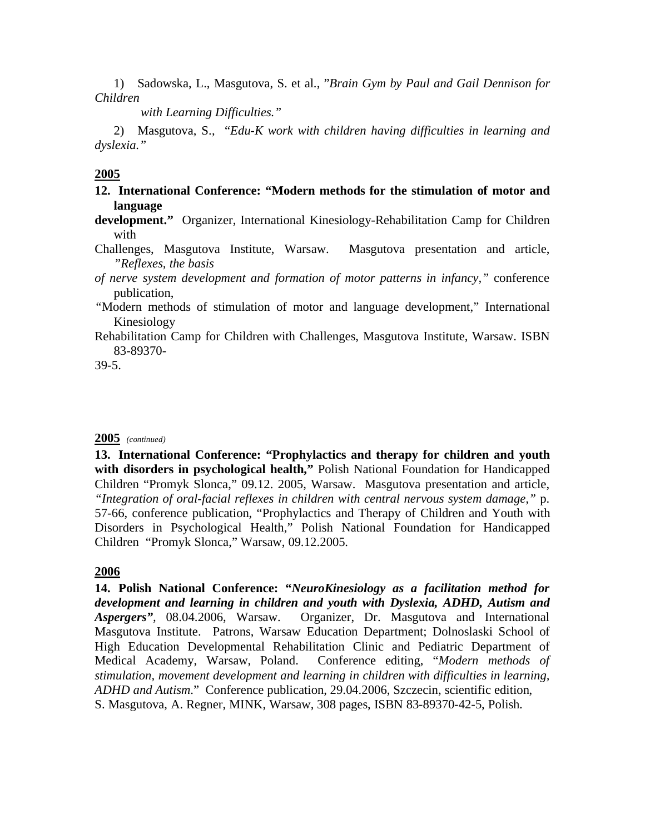1)Sadowska, L., Masgutova, S. et al., "*Brain Gym by Paul and Gail Dennison for Children* 

 *with Learning Difficulties."* 

 2)Masgutova, S., "*Edu-K work with children having difficulties in learning and dyslexia."* 

### **2005**

- **12. International Conference: "Modern methods for the stimulation of motor and language**
- **development."** Organizer, International Kinesiology-Rehabilitation Camp for Children with
- Challenges, Masgutova Institute, Warsaw. Masgutova presentation and article, *"Reflexes, the basis*
- *of nerve system development and formation of motor patterns in infancy,"* conference publication,
- *"*Modern methods of stimulation of motor and language development," International Kinesiology
- Rehabilitation Camp for Children with Challenges, Masgutova Institute, Warsaw. ISBN 83-89370-

39-5.

#### **2005** *(continued)*

**13. International Conference: "Prophylactics and therapy for children and youth with disorders in psychological health,"** Polish National Foundation for Handicapped Children "Promyk Slonca," 09.12. 2005, Warsaw. Masgutova presentation and article, *"Integration of oral-facial reflexes in children with central nervous system damage,"* p. 57-66, conference publication, "Prophylactics and Therapy of Children and Youth with Disorders in Psychological Health," Polish National Foundation for Handicapped Children "Promyk Slonca," Warsaw, 09.12.2005.

#### **2006**

**14. Polish National Conference: "***NeuroKinesiology as a facilitation method for development and learning in children and youth with Dyslexia, ADHD, Autism and Aspergers",* 08.04.2006, Warsaw. Organizer, Dr. Masgutova and International Masgutova Institute. Patrons, Warsaw Education Department; Dolnoslaski School of High Education Developmental Rehabilitation Clinic and Pediatric Department of Medical Academy, Warsaw, Poland. Conference editing, "*Modern methods of stimulation, movement development and learning in children with difficulties in learning, ADHD and Autism*." Conference publication, 29.04.2006, Szczecin, scientific edition, S. Masgutova, A. Regner, MINK, Warsaw, 308 pages, ISBN 83-89370-42-5, Polish.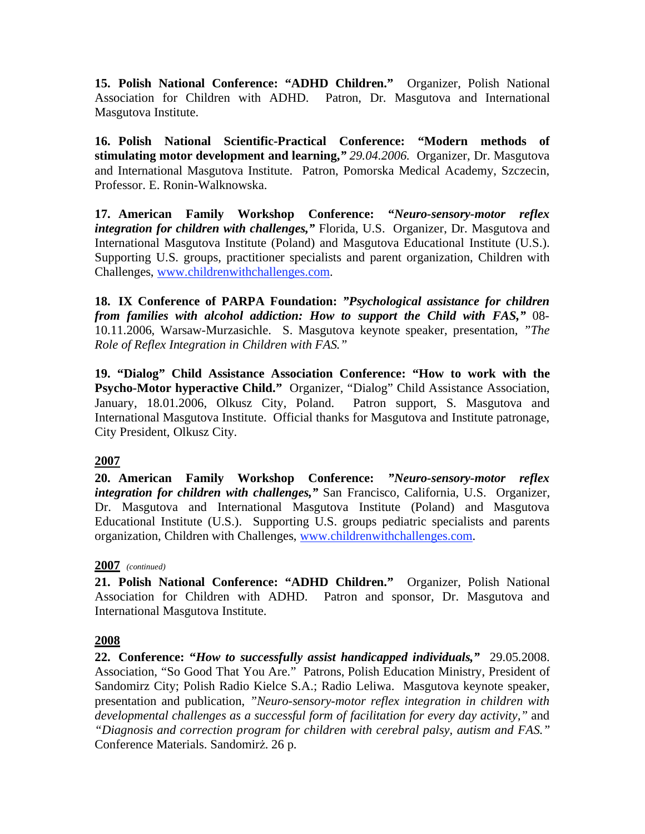**15. Polish National Conference: "ADHD Children."** Organizer, Polish National Association for Children with ADHD. Patron, Dr. Masgutova and International Masgutova Institute.

**16. Polish National Scientific-Practical Conference: "Modern methods of stimulating motor development and learning,***" 29.04.2006*. Organizer, Dr. Masgutova and International Masgutova Institute. Patron, Pomorska Medical Academy, Szczecin, Professor. E. Ronin-Walknowska.

**17. American Family Workshop Conference: "***Neuro-sensory-motor reflex integration for children with challenges,"* Florida, U.S. Organizer, Dr. Masgutova and International Masgutova Institute (Poland) and Masgutova Educational Institute (U.S.). Supporting U.S. groups, practitioner specialists and parent organization, Children with Challenges, www.childrenwithchallenges.com.

**18. IX Conference of PARPA Foundation:** *"Psychological assistance for children from families with alcohol addiction: How to support the Child with FAS,"* 08- 10.11.2006, Warsaw-Murzasichle.S. Masgutova keynote speaker, presentation, *"The Role of Reflex Integration in Children with FAS."* 

**19. "Dialog" Child Assistance Association Conference: "How to work with the Psycho-Motor hyperactive Child."** Organizer, "Dialog" Child Assistance Association, January, 18.01.2006, Olkusz City, Poland.Patron support, S. Masgutova and International Masgutova Institute.Official thanks for Masgutova and Institute patronage, City President, Olkusz City.

## **2007**

**20. American Family Workshop Conference:** *"Neuro-sensory-motor reflex integration for children with challenges,"* San Francisco, California, U.S. Organizer, Dr. Masgutova and International Masgutova Institute (Poland) and Masgutova Educational Institute (U.S.). Supporting U.S. groups pediatric specialists and parents organization, Children with Challenges, www.childrenwithchallenges.com.

## **2007** *(continued)*

**21. Polish National Conference: "ADHD Children."** Organizer, Polish National Association for Children with ADHD. Patron and sponsor, Dr. Masgutova and International Masgutova Institute.

## **2008**

**22. Conference: "***How to successfully assist handicapped individuals,"* 29.05.2008. Association, "So Good That You Are." Patrons, Polish Education Ministry, President of Sandomirz City; Polish Radio Kielce S.A.; Radio Leliwa. Masgutova keynote speaker, presentation and publication, *"Neuro-sensory-motor reflex integration in children with developmental challenges as a successful form of facilitation for every day activity,"* and *"Diagnosis and correction program for children with cerebral palsy, autism and FAS."*  Conference Materials. Sandomirż. 26 p.